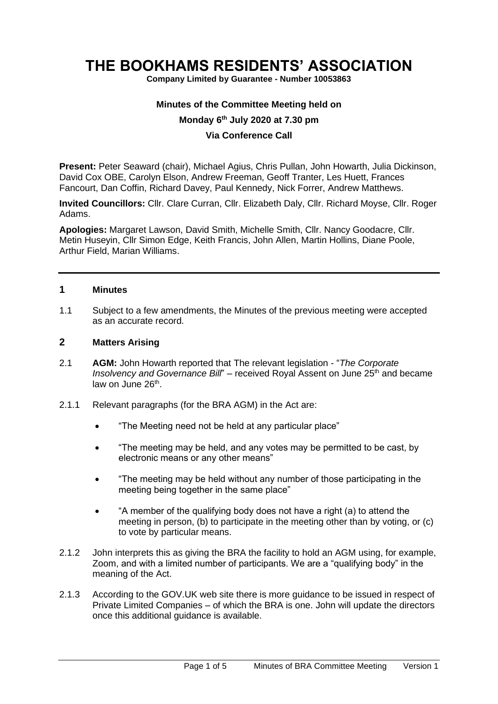# **THE BOOKHAMS RESIDENTS' ASSOCIATION**

**Company Limited by Guarantee - Number 10053863**

#### **Minutes of the Committee Meeting held on**

## **Monday 6 th July 2020 at 7.30 pm**

#### **Via Conference Call**

**Present:** Peter Seaward (chair), Michael Agius, Chris Pullan, John Howarth, Julia Dickinson, David Cox OBE, Carolyn Elson, Andrew Freeman, Geoff Tranter, Les Huett, Frances Fancourt, Dan Coffin, Richard Davey, Paul Kennedy, Nick Forrer, Andrew Matthews.

**Invited Councillors:** Cllr. Clare Curran, Cllr. Elizabeth Daly, Cllr. Richard Moyse, Cllr. Roger Adams.

**Apologies:** Margaret Lawson, David Smith, Michelle Smith, Cllr. Nancy Goodacre, Cllr. Metin Huseyin, Cllr Simon Edge, Keith Francis, John Allen, Martin Hollins, Diane Poole, Arthur Field, Marian Williams.

## **1 Minutes**

1.1 Subject to a few amendments, the Minutes of the previous meeting were accepted as an accurate record.

#### **2 Matters Arising**

- 2.1 **AGM:** John Howarth reported that The relevant legislation "*The Corporate Insolvency and Governance Bill*" – received Royal Assent on June 25<sup>th</sup> and became law on June 26<sup>th</sup>.
- 2.1.1 Relevant paragraphs (for the BRA AGM) in the Act are:
	- "The Meeting need not be held at any particular place"
	- "The meeting may be held, and any votes may be permitted to be cast, by electronic means or any other means"
	- "The meeting may be held without any number of those participating in the meeting being together in the same place"
	- "A member of the qualifying body does not have a right (a) to attend the meeting in person, (b) to participate in the meeting other than by voting, or (c) to vote by particular means.
- 2.1.2 John interprets this as giving the BRA the facility to hold an AGM using, for example, Zoom, and with a limited number of participants. We are a "qualifying body" in the meaning of the Act.
- 2.1.3 According to the GOV.UK web site there is more guidance to be issued in respect of Private Limited Companies – of which the BRA is one. John will update the directors once this additional guidance is available.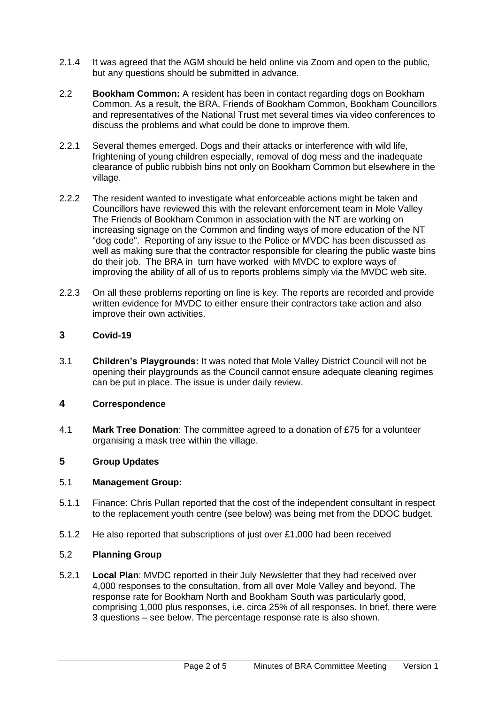- 2.1.4 It was agreed that the AGM should be held online via Zoom and open to the public, but any questions should be submitted in advance.
- 2.2 **Bookham Common:** A resident has been in contact regarding dogs on Bookham Common. As a result, the BRA, Friends of Bookham Common, Bookham Councillors and representatives of the National Trust met several times via video conferences to discuss the problems and what could be done to improve them.
- 2.2.1 Several themes emerged. Dogs and their attacks or interference with wild life, frightening of young children especially, removal of dog mess and the inadequate clearance of public rubbish bins not only on Bookham Common but elsewhere in the village.
- 2.2.2 The resident wanted to investigate what enforceable actions might be taken and Councillors have reviewed this with the relevant enforcement team in Mole Valley The Friends of Bookham Common in association with the NT are working on increasing signage on the Common and finding ways of more education of the NT "dog code". Reporting of any issue to the Police or MVDC has been discussed as well as making sure that the contractor responsible for clearing the public waste bins do their job. The BRA in turn have worked with MVDC to explore ways of improving the ability of all of us to reports problems simply via the MVDC web site.
- 2.2.3 On all these problems reporting on line is key. The reports are recorded and provide written evidence for MVDC to either ensure their contractors take action and also improve their own activities.

# **3 Covid-19**

3.1 **Children's Playgrounds:** It was noted that Mole Valley District Council will not be opening their playgrounds as the Council cannot ensure adequate cleaning regimes can be put in place. The issue is under daily review.

# **4 Correspondence**

4.1 **Mark Tree Donation**: The committee agreed to a donation of £75 for a volunteer organising a mask tree within the village.

# **5 Group Updates**

#### 5.1 **Management Group:**

- 5.1.1 Finance: Chris Pullan reported that the cost of the independent consultant in respect to the replacement youth centre (see below) was being met from the DDOC budget.
- 5.1.2 He also reported that subscriptions of just over £1,000 had been received

#### 5.2 **Planning Group**

5.2.1 **Local Plan**: MVDC reported in their July Newsletter that they had received over 4,000 responses to the consultation, from all over Mole Valley and beyond. The response rate for Bookham North and Bookham South was particularly good, comprising 1,000 plus responses, i.e. circa 25% of all responses. In brief, there were 3 questions – see below. The percentage response rate is also shown.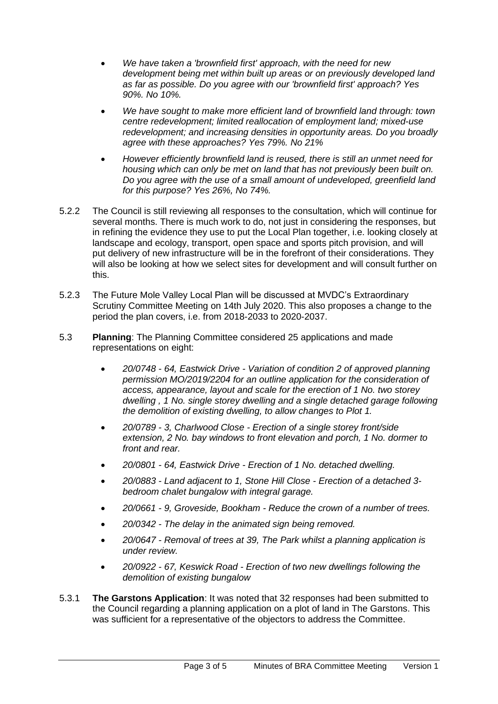- *We have taken a 'brownfield first' approach, with the need for new development being met within built up areas or on previously developed land as far as possible. Do you agree with our 'brownfield first' approach? Yes 90%. No 10%.*
- *We have sought to make more efficient land of brownfield land through: town centre redevelopment; limited reallocation of employment land; mixed-use redevelopment; and increasing densities in opportunity areas. Do you broadly agree with these approaches? Yes 79%. No 21%*
- *However efficiently brownfield land is reused, there is still an unmet need for housing which can only be met on land that has not previously been built on. Do you agree with the use of a small amount of undeveloped, greenfield land for this purpose? Yes 26%, No 74%.*
- 5.2.2 The Council is still reviewing all responses to the consultation, which will continue for several months. There is much work to do, not just in considering the responses, but in refining the evidence they use to put the Local Plan together, i.e. looking closely at landscape and ecology, transport, open space and sports pitch provision, and will put delivery of new infrastructure will be in the forefront of their considerations. They will also be looking at how we select sites for development and will consult further on this.
- 5.2.3 The Future Mole Valley Local Plan will be discussed at MVDC's Extraordinary Scrutiny Committee Meeting on 14th July 2020. This also proposes a change to the period the plan covers, i.e. from 2018-2033 to 2020-2037.
- 5.3 **Planning**: The Planning Committee considered 25 applications and made representations on eight:
	- *20/0748 - 64, Eastwick Drive - Variation of condition 2 of approved planning permission MO/2019/2204 for an outline application for the consideration of access, appearance, layout and scale for the erection of 1 No. two storey dwelling , 1 No. single storey dwelling and a single detached garage following the demolition of existing dwelling, to allow changes to Plot 1.*
	- *20/0789 - 3, Charlwood Close - Erection of a single storey front/side extension, 2 No. bay windows to front elevation and porch, 1 No. dormer to front and rear.*
	- *20/0801 - 64, Eastwick Drive - Erection of 1 No. detached dwelling.*
	- *20/0883 - Land adjacent to 1, Stone Hill Close - Erection of a detached 3 bedroom chalet bungalow with integral garage.*
	- *20/0661 - 9, Groveside, Bookham - Reduce the crown of a number of trees.*
	- *20/0342 - The delay in the animated sign being removed.*
	- *20/0647 - Removal of trees at 39, The Park whilst a planning application is under review.*
	- *20/0922 - 67, Keswick Road - Erection of two new dwellings following the demolition of existing bungalow*
- 5.3.1 **The Garstons Application**: It was noted that 32 responses had been submitted to the Council regarding a planning application on a plot of land in The Garstons. This was sufficient for a representative of the objectors to address the Committee.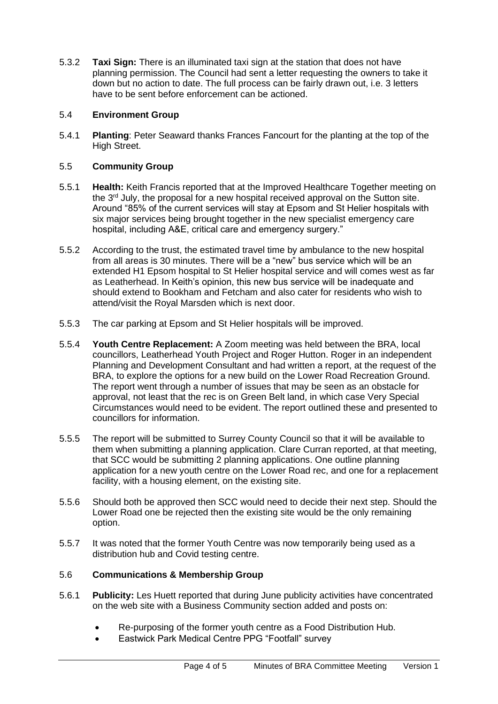5.3.2 **Taxi Sign:** There is an illuminated taxi sign at the station that does not have planning permission. The Council had sent a letter requesting the owners to take it down but no action to date. The full process can be fairly drawn out, i.e. 3 letters have to be sent before enforcement can be actioned.

## 5.4 **Environment Group**

5.4.1 **Planting**: Peter Seaward thanks Frances Fancourt for the planting at the top of the High Street.

## 5.5 **Community Group**

- 5.5.1 **Health:** Keith Francis reported that at the Improved Healthcare Together meeting on the  $3<sup>rd</sup>$  July, the proposal for a new hospital received approval on the Sutton site. Around "85% of the current services will stay at Epsom and St Helier hospitals with six major services being brought together in the new specialist emergency care hospital, including A&E, critical care and emergency surgery."
- 5.5.2 According to the trust, the estimated travel time by ambulance to the new hospital from all areas is 30 minutes. There will be a "new" bus service which will be an extended H1 Epsom hospital to St Helier hospital service and will comes west as far as Leatherhead. In Keith's opinion, this new bus service will be inadequate and should extend to Bookham and Fetcham and also cater for residents who wish to attend/visit the Royal Marsden which is next door.
- 5.5.3 The car parking at Epsom and St Helier hospitals will be improved.
- 5.5.4 **Youth Centre Replacement:** A Zoom meeting was held between the BRA, local councillors, Leatherhead Youth Project and Roger Hutton. Roger in an independent Planning and Development Consultant and had written a report, at the request of the BRA, to explore the options for a new build on the Lower Road Recreation Ground. The report went through a number of issues that may be seen as an obstacle for approval, not least that the rec is on Green Belt land, in which case Very Special Circumstances would need to be evident. The report outlined these and presented to councillors for information.
- 5.5.5 The report will be submitted to Surrey County Council so that it will be available to them when submitting a planning application. Clare Curran reported, at that meeting, that SCC would be submitting 2 planning applications. One outline planning application for a new youth centre on the Lower Road rec, and one for a replacement facility, with a housing element, on the existing site.
- 5.5.6 Should both be approved then SCC would need to decide their next step. Should the Lower Road one be rejected then the existing site would be the only remaining option.
- 5.5.7 It was noted that the former Youth Centre was now temporarily being used as a distribution hub and Covid testing centre.

# 5.6 **Communications & Membership Group**

- 5.6.1 **Publicity:** Les Huett reported that during June publicity activities have concentrated on the web site with a Business Community section added and posts on:
	- Re-purposing of the former youth centre as a Food Distribution Hub.
	- Eastwick Park Medical Centre PPG "Footfall" survey